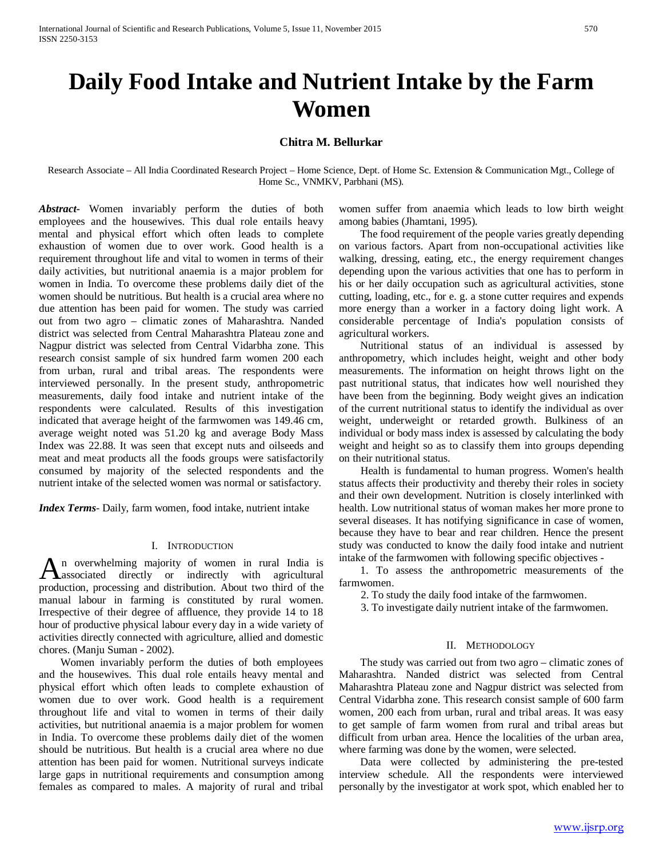# **Daily Food Intake and Nutrient Intake by the Farm Women**

# **Chitra M. Bellurkar**

Research Associate – All India Coordinated Research Project – Home Science, Dept. of Home Sc. Extension & Communication Mgt., College of Home Sc., VNMKV, Parbhani (MS).

*Abstract***-** Women invariably perform the duties of both employees and the housewives. This dual role entails heavy mental and physical effort which often leads to complete exhaustion of women due to over work. Good health is a requirement throughout life and vital to women in terms of their daily activities, but nutritional anaemia is a major problem for women in India. To overcome these problems daily diet of the women should be nutritious. But health is a crucial area where no due attention has been paid for women. The study was carried out from two agro – climatic zones of Maharashtra. Nanded district was selected from Central Maharashtra Plateau zone and Nagpur district was selected from Central Vidarbha zone. This research consist sample of six hundred farm women 200 each from urban, rural and tribal areas. The respondents were interviewed personally. In the present study, anthropometric measurements, daily food intake and nutrient intake of the respondents were calculated. Results of this investigation indicated that average height of the farmwomen was 149.46 cm, average weight noted was 51.20 kg and average Body Mass Index was 22.88. It was seen that except nuts and oilseeds and meat and meat products all the foods groups were satisfactorily consumed by majority of the selected respondents and the nutrient intake of the selected women was normal or satisfactory.

*Index Terms*- Daily, farm women, food intake, nutrient intake

#### I. INTRODUCTION

n overwhelming majority of women in rural India is An overwhelming majority of women in rural India is<br>
associated directly or indirectly with agricultural<br>
direction of the direct of the direct of the production, processing and distribution. About two third of the manual labour in farming is constituted by rural women. Irrespective of their degree of affluence, they provide 14 to 18 hour of productive physical labour every day in a wide variety of activities directly connected with agriculture, allied and domestic chores. (Manju Suman - 2002).

 Women invariably perform the duties of both employees and the housewives. This dual role entails heavy mental and physical effort which often leads to complete exhaustion of women due to over work. Good health is a requirement throughout life and vital to women in terms of their daily activities, but nutritional anaemia is a major problem for women in India. To overcome these problems daily diet of the women should be nutritious. But health is a crucial area where no due attention has been paid for women. Nutritional surveys indicate large gaps in nutritional requirements and consumption among females as compared to males. A majority of rural and tribal

women suffer from anaemia which leads to low birth weight among babies (Jhamtani, 1995).

 The food requirement of the people varies greatly depending on various factors. Apart from non-occupational activities like walking, dressing, eating, etc., the energy requirement changes depending upon the various activities that one has to perform in his or her daily occupation such as agricultural activities, stone cutting, loading, etc., for e. g. a stone cutter requires and expends more energy than a worker in a factory doing light work. A considerable percentage of India's population consists of agricultural workers.

 Nutritional status of an individual is assessed by anthropometry, which includes height, weight and other body measurements. The information on height throws light on the past nutritional status, that indicates how well nourished they have been from the beginning. Body weight gives an indication of the current nutritional status to identify the individual as over weight, underweight or retarded growth. Bulkiness of an individual or body mass index is assessed by calculating the body weight and height so as to classify them into groups depending on their nutritional status.

 Health is fundamental to human progress. Women's health status affects their productivity and thereby their roles in society and their own development. Nutrition is closely interlinked with health. Low nutritional status of woman makes her more prone to several diseases. It has notifying significance in case of women, because they have to bear and rear children. Hence the present study was conducted to know the daily food intake and nutrient intake of the farmwomen with following specific objectives -

 1. To assess the anthropometric measurements of the farmwomen.

2. To study the daily food intake of the farmwomen.

3. To investigate daily nutrient intake of the farmwomen.

#### II. METHODOLOGY

 The study was carried out from two agro – climatic zones of Maharashtra. Nanded district was selected from Central Maharashtra Plateau zone and Nagpur district was selected from Central Vidarbha zone. This research consist sample of 600 farm women, 200 each from urban, rural and tribal areas. It was easy to get sample of farm women from rural and tribal areas but difficult from urban area. Hence the localities of the urban area, where farming was done by the women, were selected.

 Data were collected by administering the pre-tested interview schedule. All the respondents were interviewed personally by the investigator at work spot, which enabled her to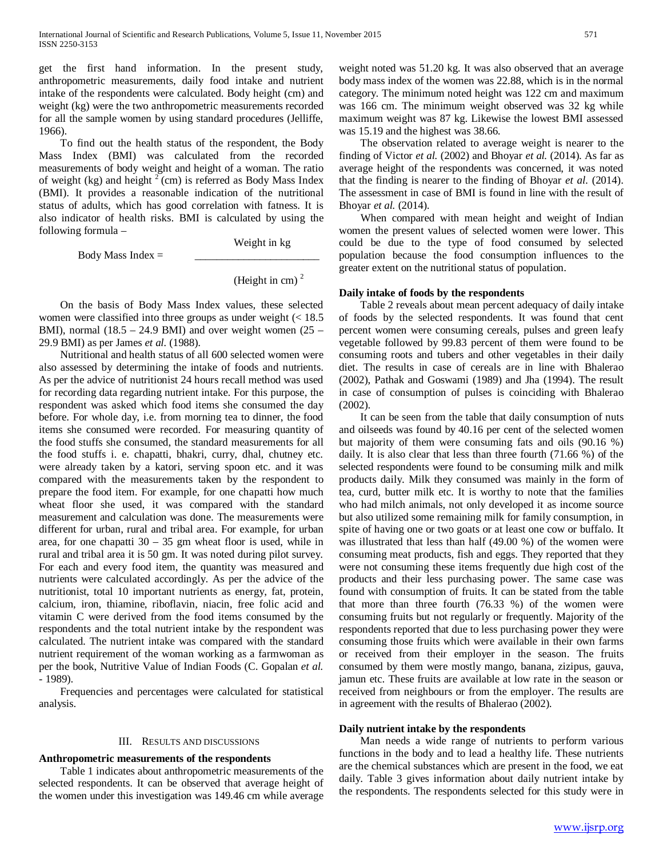get the first hand information. In the present study, anthropometric measurements, daily food intake and nutrient intake of the respondents were calculated. Body height (cm) and weight (kg) were the two anthropometric measurements recorded for all the sample women by using standard procedures (Jelliffe, 1966).

 To find out the health status of the respondent, the Body Mass Index (BMI) was calculated from the recorded measurements of body weight and height of a woman. The ratio of weight (kg) and height  $2$  (cm) is referred as Body Mass Index (BMI). It provides a reasonable indication of the nutritional status of adults, which has good correlation with fatness. It is also indicator of health risks. BMI is calculated by using the following formula –

Weight in kg

Body Mass Index  $=$ 

(Height in cm) $<sup>2</sup>$ </sup>

 On the basis of Body Mass Index values, these selected women were classified into three groups as under weight  $\approx 18.5$ BMI), normal  $(18.5 - 24.9 \text{ BMI})$  and over weight women  $(25 -$ 29.9 BMI) as per James *et al.* (1988).

 Nutritional and health status of all 600 selected women were also assessed by determining the intake of foods and nutrients. As per the advice of nutritionist 24 hours recall method was used for recording data regarding nutrient intake. For this purpose, the respondent was asked which food items she consumed the day before. For whole day, i.e. from morning tea to dinner, the food items she consumed were recorded. For measuring quantity of the food stuffs she consumed, the standard measurements for all the food stuffs i. e. chapatti, bhakri, curry, dhal, chutney etc. were already taken by a katori, serving spoon etc. and it was compared with the measurements taken by the respondent to prepare the food item. For example, for one chapatti how much wheat floor she used, it was compared with the standard measurement and calculation was done. The measurements were different for urban, rural and tribal area. For example, for urban area, for one chapatti  $30 - 35$  gm wheat floor is used, while in rural and tribal area it is 50 gm. It was noted during pilot survey. For each and every food item, the quantity was measured and nutrients were calculated accordingly. As per the advice of the nutritionist, total 10 important nutrients as energy, fat, protein, calcium, iron, thiamine, riboflavin, niacin, free folic acid and vitamin C were derived from the food items consumed by the respondents and the total nutrient intake by the respondent was calculated. The nutrient intake was compared with the standard nutrient requirement of the woman working as a farmwoman as per the book, Nutritive Value of Indian Foods (C. Gopalan *et al. -* 1989).

 Frequencies and percentages were calculated for statistical analysis.

#### III. RESULTS AND DISCUSSIONS

## **Anthropometric measurements of the respondents**

 Table 1 indicates about anthropometric measurements of the selected respondents. It can be observed that average height of the women under this investigation was 149.46 cm while average weight noted was 51.20 kg. It was also observed that an average body mass index of the women was 22.88, which is in the normal category. The minimum noted height was 122 cm and maximum was 166 cm. The minimum weight observed was 32 kg while maximum weight was 87 kg. Likewise the lowest BMI assessed was 15.19 and the highest was 38.66.

 The observation related to average weight is nearer to the finding of Victor *et al.* (2002) and Bhoyar *et al.* (2014). As far as average height of the respondents was concerned, it was noted that the finding is nearer to the finding of Bhoyar *et al.* (2014). The assessment in case of BMI is found in line with the result of Bhoyar *et al.* (2014).

 When compared with mean height and weight of Indian women the present values of selected women were lower. This could be due to the type of food consumed by selected population because the food consumption influences to the greater extent on the nutritional status of population.

## **Daily intake of foods by the respondents**

 Table 2 reveals about mean percent adequacy of daily intake of foods by the selected respondents. It was found that cent percent women were consuming cereals, pulses and green leafy vegetable followed by 99.83 percent of them were found to be consuming roots and tubers and other vegetables in their daily diet. The results in case of cereals are in line with Bhalerao (2002), Pathak and Goswami (1989) and Jha (1994). The result in case of consumption of pulses is coinciding with Bhalerao (2002).

 It can be seen from the table that daily consumption of nuts and oilseeds was found by 40.16 per cent of the selected women but majority of them were consuming fats and oils (90.16 %) daily. It is also clear that less than three fourth (71.66 %) of the selected respondents were found to be consuming milk and milk products daily. Milk they consumed was mainly in the form of tea, curd, butter milk etc. It is worthy to note that the families who had milch animals, not only developed it as income source but also utilized some remaining milk for family consumption, in spite of having one or two goats or at least one cow or buffalo. It was illustrated that less than half (49.00 %) of the women were consuming meat products, fish and eggs. They reported that they were not consuming these items frequently due high cost of the products and their less purchasing power. The same case was found with consumption of fruits. It can be stated from the table that more than three fourth (76.33 %) of the women were consuming fruits but not regularly or frequently. Majority of the respondents reported that due to less purchasing power they were consuming those fruits which were available in their own farms or received from their employer in the season. The fruits consumed by them were mostly mango, banana, zizipus, gauva, jamun etc. These fruits are available at low rate in the season or received from neighbours or from the employer. The results are in agreement with the results of Bhalerao (2002).

## **Daily nutrient intake by the respondents**

 Man needs a wide range of nutrients to perform various functions in the body and to lead a healthy life. These nutrients are the chemical substances which are present in the food, we eat daily. Table 3 gives information about daily nutrient intake by the respondents. The respondents selected for this study were in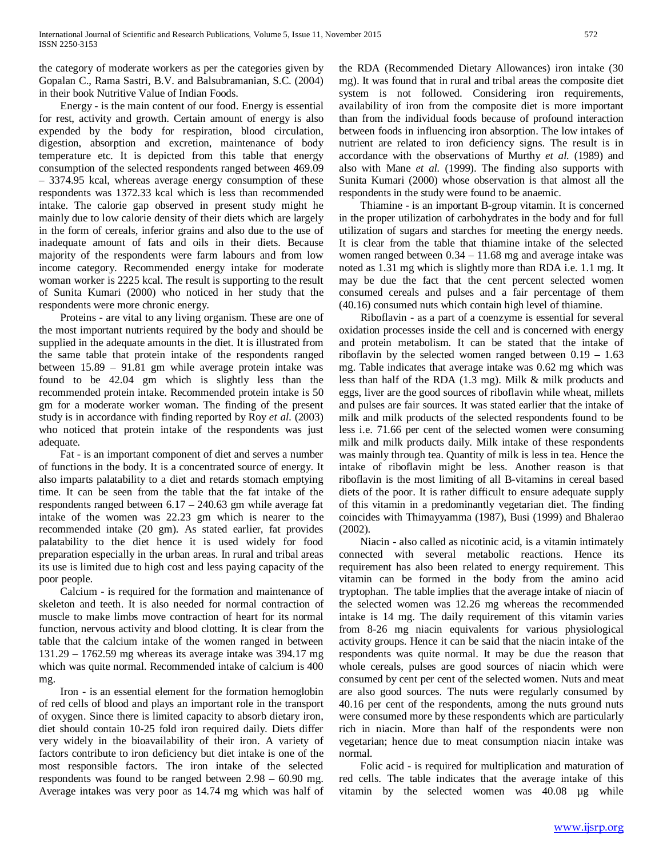the category of moderate workers as per the categories given by Gopalan C., Rama Sastri, B.V. and Balsubramanian, S.C. (2004) in their book Nutritive Value of Indian Foods.

 Energy - is the main content of our food. Energy is essential for rest, activity and growth. Certain amount of energy is also expended by the body for respiration, blood circulation, digestion, absorption and excretion, maintenance of body temperature etc. It is depicted from this table that energy consumption of the selected respondents ranged between 469.09 – 3374.95 kcal, whereas average energy consumption of these respondents was 1372.33 kcal which is less than recommended intake. The calorie gap observed in present study might he mainly due to low calorie density of their diets which are largely in the form of cereals, inferior grains and also due to the use of inadequate amount of fats and oils in their diets. Because majority of the respondents were farm labours and from low income category. Recommended energy intake for moderate woman worker is 2225 kcal. The result is supporting to the result of Sunita Kumari (2000) who noticed in her study that the respondents were more chronic energy.

 Proteins - are vital to any living organism. These are one of the most important nutrients required by the body and should be supplied in the adequate amounts in the diet. It is illustrated from the same table that protein intake of the respondents ranged between 15.89 – 91.81 gm while average protein intake was found to be 42.04 gm which is slightly less than the recommended protein intake. Recommended protein intake is 50 gm for a moderate worker woman. The finding of the present study is in accordance with finding reported by Roy *et al.* (2003) who noticed that protein intake of the respondents was just adequate.

 Fat - is an important component of diet and serves a number of functions in the body. It is a concentrated source of energy. It also imparts palatability to a diet and retards stomach emptying time. It can be seen from the table that the fat intake of the respondents ranged between 6.17 – 240.63 gm while average fat intake of the women was 22.23 gm which is nearer to the recommended intake (20 gm). As stated earlier, fat provides palatability to the diet hence it is used widely for food preparation especially in the urban areas. In rural and tribal areas its use is limited due to high cost and less paying capacity of the poor people.

 Calcium - is required for the formation and maintenance of skeleton and teeth. It is also needed for normal contraction of muscle to make limbs move contraction of heart for its normal function, nervous activity and blood clotting. It is clear from the table that the calcium intake of the women ranged in between 131.29 – 1762.59 mg whereas its average intake was 394.17 mg which was quite normal. Recommended intake of calcium is 400 mg.

 Iron - is an essential element for the formation hemoglobin of red cells of blood and plays an important role in the transport of oxygen. Since there is limited capacity to absorb dietary iron, diet should contain 10-25 fold iron required daily. Diets differ very widely in the bioavailability of their iron. A variety of factors contribute to iron deficiency but diet intake is one of the most responsible factors. The iron intake of the selected respondents was found to be ranged between 2.98 – 60.90 mg. Average intakes was very poor as 14.74 mg which was half of the RDA (Recommended Dietary Allowances) iron intake (30 mg). It was found that in rural and tribal areas the composite diet system is not followed. Considering iron requirements, availability of iron from the composite diet is more important than from the individual foods because of profound interaction between foods in influencing iron absorption. The low intakes of nutrient are related to iron deficiency signs. The result is in accordance with the observations of Murthy *et al.* (1989) and also with Mane *et al.* (1999). The finding also supports with Sunita Kumari (2000) whose observation is that almost all the respondents in the study were found to be anaemic.

 Thiamine - is an important B-group vitamin. It is concerned in the proper utilization of carbohydrates in the body and for full utilization of sugars and starches for meeting the energy needs. It is clear from the table that thiamine intake of the selected women ranged between 0.34 – 11.68 mg and average intake was noted as 1.31 mg which is slightly more than RDA i.e. 1.1 mg. It may be due the fact that the cent percent selected women consumed cereals and pulses and a fair percentage of them (40.16) consumed nuts which contain high level of thiamine.

 Riboflavin - as a part of a coenzyme is essential for several oxidation processes inside the cell and is concerned with energy and protein metabolism. It can be stated that the intake of riboflavin by the selected women ranged between  $0.19 - 1.63$ mg. Table indicates that average intake was 0.62 mg which was less than half of the RDA (1.3 mg). Milk & milk products and eggs, liver are the good sources of riboflavin while wheat, millets and pulses are fair sources. It was stated earlier that the intake of milk and milk products of the selected respondents found to be less i.e. 71.66 per cent of the selected women were consuming milk and milk products daily. Milk intake of these respondents was mainly through tea. Quantity of milk is less in tea. Hence the intake of riboflavin might be less. Another reason is that riboflavin is the most limiting of all B-vitamins in cereal based diets of the poor. It is rather difficult to ensure adequate supply of this vitamin in a predominantly vegetarian diet. The finding coincides with Thimayyamma (1987), Busi (1999) and Bhalerao (2002).

 Niacin - also called as nicotinic acid, is a vitamin intimately connected with several metabolic reactions. Hence its requirement has also been related to energy requirement. This vitamin can be formed in the body from the amino acid tryptophan. The table implies that the average intake of niacin of the selected women was 12.26 mg whereas the recommended intake is 14 mg. The daily requirement of this vitamin varies from 8-26 mg niacin equivalents for various physiological activity groups. Hence it can be said that the niacin intake of the respondents was quite normal. It may be due the reason that whole cereals, pulses are good sources of niacin which were consumed by cent per cent of the selected women. Nuts and meat are also good sources. The nuts were regularly consumed by 40.16 per cent of the respondents, among the nuts ground nuts were consumed more by these respondents which are particularly rich in niacin. More than half of the respondents were non vegetarian; hence due to meat consumption niacin intake was normal.

 Folic acid - is required for multiplication and maturation of red cells. The table indicates that the average intake of this vitamin by the selected women was 40.08 µg while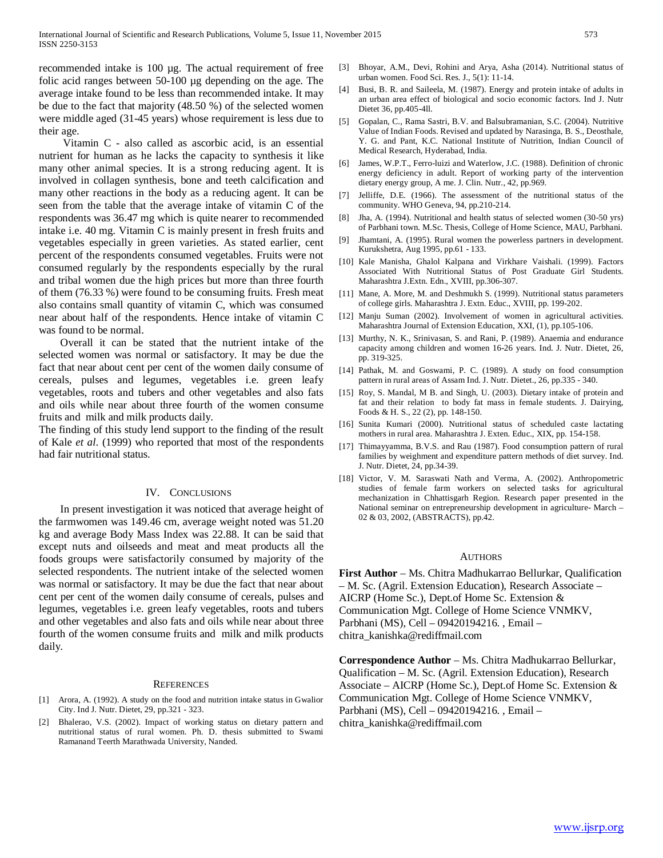recommended intake is 100 µg. The actual requirement of free folic acid ranges between 50-100 µg depending on the age. The average intake found to be less than recommended intake. It may be due to the fact that majority (48.50 %) of the selected women were middle aged (31-45 years) whose requirement is less due to their age.

 Vitamin C - also called as ascorbic acid, is an essential nutrient for human as he lacks the capacity to synthesis it like many other animal species. It is a strong reducing agent. It is involved in collagen synthesis, bone and teeth calcification and many other reactions in the body as a reducing agent. It can be seen from the table that the average intake of vitamin C of the respondents was 36.47 mg which is quite nearer to recommended intake i.e. 40 mg. Vitamin C is mainly present in fresh fruits and vegetables especially in green varieties. As stated earlier, cent percent of the respondents consumed vegetables. Fruits were not consumed regularly by the respondents especially by the rural and tribal women due the high prices but more than three fourth of them (76.33 %) were found to be consuming fruits. Fresh meat also contains small quantity of vitamin C, which was consumed near about half of the respondents. Hence intake of vitamin C was found to be normal.

 Overall it can be stated that the nutrient intake of the selected women was normal or satisfactory. It may be due the fact that near about cent per cent of the women daily consume of cereals, pulses and legumes, vegetables i.e. green leafy vegetables, roots and tubers and other vegetables and also fats and oils while near about three fourth of the women consume fruits and milk and milk products daily.

The finding of this study lend support to the finding of the result of Kale *et al*. (1999) who reported that most of the respondents had fair nutritional status.

#### IV. CONCLUSIONS

 In present investigation it was noticed that average height of the farmwomen was 149.46 cm, average weight noted was 51.20 kg and average Body Mass Index was 22.88. It can be said that except nuts and oilseeds and meat and meat products all the foods groups were satisfactorily consumed by majority of the selected respondents. The nutrient intake of the selected women was normal or satisfactory. It may be due the fact that near about cent per cent of the women daily consume of cereals, pulses and legumes, vegetables i.e. green leafy vegetables, roots and tubers and other vegetables and also fats and oils while near about three fourth of the women consume fruits and milk and milk products daily.

#### **REFERENCES**

- [1] Arora, A. (1992). A study on the food and nutrition intake status in Gwalior City. Ind J. Nutr. Dietet, 29, pp.321 - 323.
- [2] Bhalerao, V.S. (2002). Impact of working status on dietary pattern and nutritional status of rural women. Ph. D. thesis submitted to Swami Ramanand Teerth Marathwada University, Nanded.
- [3] Bhoyar, A.M., Devi, Rohini and Arya, Asha (2014). Nutritional status of urban women. Food Sci. Res. J., 5(1): 11-14.
- [4] Busi, B. R. and Saileela, M. (1987). Energy and protein intake of adults in an urban area effect of biological and socio economic factors. Ind J. Nutr Dietet 36, pp.405-4ll.
- [5] Gopalan, C., Rama Sastri, B.V. and Balsubramanian, S.C. (2004). Nutritive Value of Indian Foods. Revised and updated by Narasinga, B. S., Deosthale, Y. G. and Pant, K.C. National Institute of Nutrition, Indian Council of Medical Research, Hyderabad, India.
- [6] James, W.P.T., Ferro-luizi and Waterlow, J.C. (1988). Definition of chronic energy deficiency in adult. Report of working party of the intervention dietary energy group, A me. J. Clin. Nutr., 42, pp.969.
- [7] Jelliffe, D.E. (1966). The assessment of the nutritional status of the community. WHO Geneva, 94, pp.210-214.
- [8] Jha, A. (1994). Nutritional and health status of selected women (30-50 yrs) of Parbhani town. M.Sc. Thesis, College of Home Science, MAU, Parbhani.
- [9] Jhamtani, A. (1995). Rural women the powerless partners in development. Kurukshetra, Aug 1995, pp.61 - 133.
- [10] Kale Manisha, Ghalol Kalpana and Virkhare Vaishali. (1999). Factors Associated With Nutritional Status of Post Graduate Girl Students. Maharashtra J.Extn. Edn., XVIII, pp.306-307.
- [11] Mane, A. More, M. and Deshmukh S. (1999). Nutritional status parameters of college girls. Maharashtra J. Extn. Educ., XVIII, pp. 199-202.
- [12] Manju Suman (2002). Involvement of women in agricultural activities. Maharashtra Journal of Extension Education, XXI, (1), pp.105-106.
- [13] Murthy, N. K., Srinivasan, S. and Rani, P. (1989). Anaemia and endurance capacity among children and women 16-26 years. Ind. J. Nutr. Dietet, 26, pp. 319-325.
- [14] Pathak, M. and Goswami, P. C. (1989). A study on food consumption pattern in rural areas of Assam Ind. J. Nutr. Dietet., 26, pp.335 - 340.
- [15] Roy, S. Mandal, M B. and Singh, U. (2003). Dietary intake of protein and fat and their relation to body fat mass in female students. J. Dairying, Foods & H. S., 22 (2), pp. 148-150.
- [16] Sunita Kumari (2000). Nutritional status of scheduled caste lactating mothers in rural area. Maharashtra J. Exten. Educ., XIX, pp. 154-158.
- [17] Thimayyamma, B.V.S. and Rau (1987). Food consumption pattern of rural families by weighment and expenditure pattern methods of diet survey. Ind. J. Nutr. Dietet, 24, pp.34-39.
- [18] Victor, V. M. Saraswati Nath and Verma, A. (2002). Anthropometric studies of female farm workers on selected tasks for agricultural mechanization in Chhattisgarh Region. Research paper presented in the National seminar on entrepreneurship development in agriculture- March – 02 & 03, 2002, (ABSTRACTS), pp.42.

#### **AUTHORS**

**First Author** – Ms. Chitra Madhukarrao Bellurkar, Qualification – M. Sc. (Agril. Extension Education), Research Associate – AICRP (Home Sc.), Dept.of Home Sc. Extension & Communication Mgt. College of Home Science VNMKV, Parbhani (MS), Cell – 09420194216. , Email – chitra\_kanishka@rediffmail.com

**Correspondence Author** – Ms. Chitra Madhukarrao Bellurkar, Qualification – M. Sc. (Agril. Extension Education), Research Associate – AICRP (Home Sc.), Dept.of Home Sc. Extension & Communication Mgt. College of Home Science VNMKV, Parbhani (MS), Cell – 09420194216. , Email – chitra\_kanishka@rediffmail.com